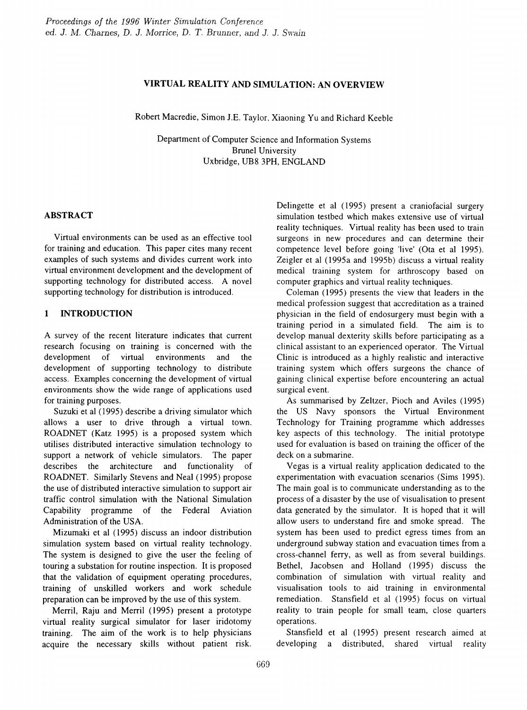## VIRTUAL REALITY AND SIMULATION: AN OVERVIEW

Robert Macredie, Simon J.E. Taylor, Xiaoning Yu and Richard Keeble

Department of Computer Science and Information Systems BruneI University Uxbridge, UB8 3PH, ENGLAND

## ABSTRACT

Virtual environments can be used as an effective tool for training and education. This paper cites many recent examples of such systems and divides current work into virtual environment development and the development of supporting technology for distributed access. A novel supporting technology for distribution is introduced.

## 1 INTRODUCTION

A survey of the recent literature indicates that current research focusing on training is concerned with the development of virtual environments and the development of supporting technology to distribute access. Examples concerning the development of virtual environments show the wide range of applications used for training purposes.

Suzuki et al (1995) describe a driving simulator which allows a user to drive through a virtual town. ROADNET (Katz 1995) is a proposed system which utilises distributed interactive simulation technology to support a network of vehicle simulators. The paper describes the architecture and functionality of ROADNET. Similarly Stevens and Neal (1995) propose the use of distributed interactive simulation to support air traffic control simulation with the National Simulation Capability programme of the Federal Aviation Administration of the USA.

Mizumaki et al (1995) discuss an indoor distribution simulation system based on virtual reality technology. The system is designed to give the user the feeling of touring a substation for routine inspection. It is proposed that the validation of equipment operating procedures, training of unskilled workers and work schedule preparation can be improved by the use of this system.

Merril, Raju and Merril (1995) present a prototype virtual reality surgical simulator for laser iridotomy training. The aim of the work is to help physicians acquire the necessary skills without patient risk.

Delingette et al (1995) present a craniofacial surgery simulation testbed which makes extensive use of virtual reality techniques. Virtual reality has been used to train surgeons in new procedures and can determine their competence level before going 'live' (Ota et al 1995). Zeigler et al (1995a and 1995b) discuss a virtual reality medical training system for arthroscopy based on computer graphics and virtual reality techniques.

Coleman (1995) presents the view that leaders in the medical profession suggest that accreditation as a trained physician in the field of endosurgery must begin with a training period in a simulated field. The aim is to develop manual dexterity skills before participating as a clinical assistant to an experienced operator. The Virtual Clinic is introduced as a highly realistic and interactive training system which offers surgeons the chance of gaining clinical expertise before encountering an actual surgical event.

As summarised by Zeltzer, Pioch and Aviles (1995) the US Navy sponsors the Virtual Environment Technology for Training programme which addresses key aspects of this technology. The initial prototype used for evaluation is based on training the officer of the deck on a submarine.

Vegas is a virtual reality application dedicated to the experimentation with evacuation scenarios (Sims 1995). The main goal is to communicate understanding as to the process of a disaster by the use of visualisation to present data generated by the simulator. It is hoped that it will allow users to understand fire and smoke spread. The system has been used to predict egress times from an underground subway station and evacuation times from a cross-channel ferry, as well as from several buildings. Bethel, Jacobsen and Holland (1995) discuss the combination of simulation with virtual reality and visualisation tools to aid training in environmental remediation. Stansfield et al (1995) focus on virtual reality to train people for small team, close quarters operations.

Stansfield et al (1995) present research aimed at developing a distributed, shared virtual reality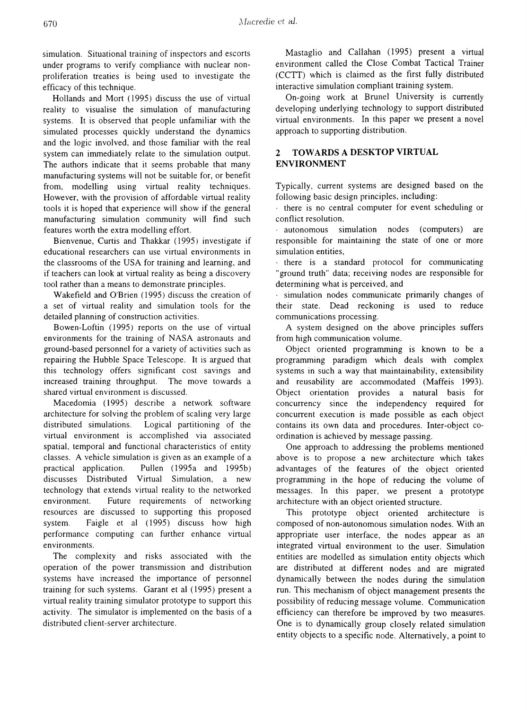simulation. Situational training of inspectors and escorts under programs to verify compliance with nuclear nonproliferation treaties is being used to investigate the efficacy of this technique.

Hollands and Mort (1995) discuss the use of virtual reality to visualise the simulation of manufacturing systems. It is observed that people unfamiliar with the simulated processes quickly understand the dynamics and the logic involved, and those familiar with the real system can immediately relate to the simulation output. The authors indicate that it seems probable that many manufacturing systems will not be suitable for, or benefit from, modelling using virtual reality techniques. However, with the provision of affordable virtual reality tools it is hoped that experience will show if the general manufacturing simulation community will find such features worth the extra modelling effort.

Bienvenue, Curtis and Thakkar (1995) investigate if educational researchers can use virtual environments in the classrooms of the USA for training and learning, and if teachers can look at virtual reality as being a discovery tool rather than a means to demonstrate principles.

Wakefield and O'Brien (1995) discuss the creation of a set of virtual reality and simulation tools for the detailed planning of construction activities.

Bowen-Loftin (1995) reports on the use of virtual environments for the training of NASA astronauts and ground-based personnel for a variety of activities such as repairing the Hubble Space Telescope. It is argued that this technology offers significant cost savings and increased training throughput. The move towards a shared virtual environment is discussed.

Macedomia (1995) describe a network software architecture for solving the problem of scaling very large distributed simulations. Logical partitioning of the virtual environment is accomplished via associated spatial, temporal and functional characteristics of entity classes. A vehicle simulation is given as an example of a practical application. Pullen (1995a and 1995b) discusses Distributed Virtual Simulation, a new technology that extends virtual reality to the networked environment. Future requirements of networking resources are discussed to supporting this proposed system. Faigle et al (1995) discuss how high performance computing can further enhance virtual environments.

The complexity and risks associated with the operation of the power transmission and distribution systems have increased the importance of personnel training for such systems. Garant et al (1995) present a virtual reality training simulator prototype to support this activity. The simulator is implemented on the basis of a distributed client-server architecture.

Mastaglio and Callahan (1995) present a virtual environment called the Close Combat Tactical Trainer (CCTT) which is claimed as the first fully distributed interactive simulation compliant training system.

On-going work at BruneI University is currently developing underlying technology to support distributed virtual environments. In this paper we present a novel approach to supporting distribution.

# 2 TOWARDS A DESKTOP VIRTUAL ENVIRONMENT

Typically, current systems are designed based on the following basic design principles, including:

· there is no central computer for event scheduling or conflict resolution,

· autonomous simulation nodes (computers) are responsible for maintaining the state of one or more simulation entities,

· there is a standard protocol for communicating "ground truth" data; receiving nodes are responsible for determining what is perceived, and

· simulation nodes communicate primarily changes of their state. Dead reckoning is used to reduce communications processing.

A system designed on the above principles suffers from high communication volume.

Object oriented programming is known to be a programming paradigm which deals with complex systems in such a way that maintainability, extensibility and reusability are accommodated (Maffeis 1993). Object orientation provides a natural basis for concurrency since the independency required for concurrent execution is made possible as each object contains its own data and procedures. Inter-object coordination is achieved by message passing.

One approach to addressing the problems mentioned above is to propose a new architecture which takes advantages of the features of the object oriented programming in the hope of reducing the volume of messages. In this paper, we present a prototype architecture with an object oriented structure.

This prototype object oriented architecture is composed of non-autonomous simulation nodes. With an appropriate user interface, the nodes appear as an integrated virtual environment to the user. Simulation entities are modelled as simulation entity objects which are distributed at different nodes and are migrated dynamically between the nodes during the simulation run. This mechanism of object management presents the possibility of reducing message volume. Communication efficiency can therefore be improved by two measures. One is to dynamically group closely related simulation entity objects to a specific node. Alternatively, a point to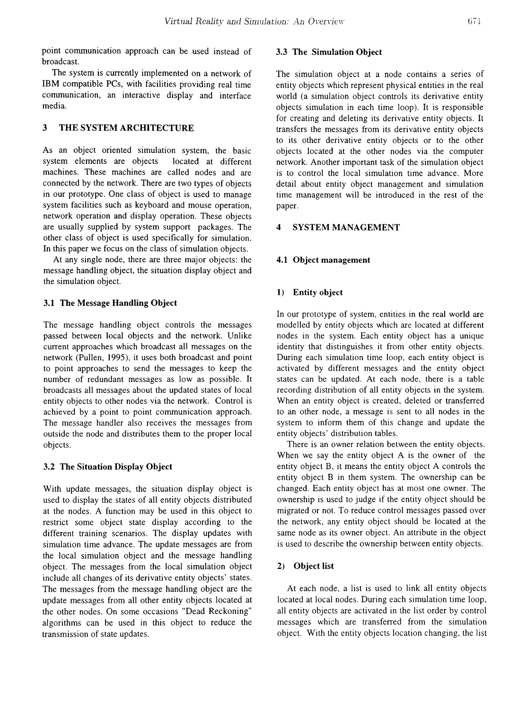point communication approach can be used instead of broadcast.

The system is currently implemented on a network of IBM compatible PCs, with facilities providing real time communication, an interactive display and interface media.

# 3 THE SYSTEM ARCHITECTURE

As an object oriented simulation system, the basic system elements are objects located at different machines. These machines are called nodes and are connected by the network. There are two types of objects in our prototype. One class of object is used to manage system facilities such as keyboard and mouse operation, network operation and display operation. These objects are usually supplied by system support packages. The other class of object is used specifically for simulation. In this paper we focus on the class of simulation objects.

At any single node, there are three major objects: the message handling object, the situation display object and the simulation object.

#### 3.1 The Message Handling Object

The message handling object controls the messages passed between local objects and the network. Unlike current approaches which broadcast all messages on the network (Pullen, 1995), it uses both broadcast and point to point approaches to send the messages to keep the number of redundant messages as low as possible. It broadcasts all messages about the updated states of local entity objects to other nodes via the network. Control is achieved by a point to point communication approach. The message handler also receives the messages from outside the node and distributes them to the proper local objects.

#### 3.2 The Situation Display Object

With update messages, the situation display object is used to display the states of all entity objects distributed at the nodes. A function may be used in this object to restrict some object state display according to the different training scenarios. The display updates with simulation time advance. The update messages are from the local simulation object and the message handling object. The messages from the local simulation object include all changes of its derivative entity objects' states. The messages from the message handling object are the update messages from all other entity objects located at the other nodes. On some occasions "Dead Reckoning" algorithms can be used in this object to reduce the transmission of state updates.

### 3.3 The Simulation Object

The simulation object at a node contains a series of entity objects which represent physical entities in the real world (a simulation object controls its derivative entity objects simulation in each time loop). It is responsible for creating and deleting its derivative entity objects. It transfers the messages from its derivative entity objects to its other derivative entity objects or to the other objects located at the other nodes via the computer network. Another important task of the simulation object is to control the local simulation time advance. More detail about entity object management and simulation time management will be introduced in the rest of the paper.

### 4 SYSTEM MANAGEMENT

#### 4.1 Object management

### 1) Entity object

In our prototype of system, entities in the real world are modelled by entity objects which are located at different nodes in the system. Each entity object has a unique identity that distinguishes it from other entity objects. During each simulation time loop, each entity object is activated by different messages and the entity object states can be updated. At each node, there is a table recording distribution of all entity objects in the system. When an entity object is created, deleted or transferred to an other node, a message is sent to all nodes in the system to inform them of this change and update the entity objects' distribution tables.

There is an owner relation between the entity objects. When we say the entity object A is the owner of the entity object B, it means the entity object A controls the entity object B in them system. The ownership can be changed. Each entity object has at most one owner. The ownership is used to judge if the entity object should be migrated or not. To reduce control messages passed over the network, any entity object should be located at the same node as its owner object. An attribute in the object is used to describe the ownership between entity objects.

### 2) Object list

At each node, a list is used to link all entity objects located at local nodes. During each simulation time loop, all entity objects are activated in the list order by control messages which are transferred from the simulation object. With the entity objects location changing, the list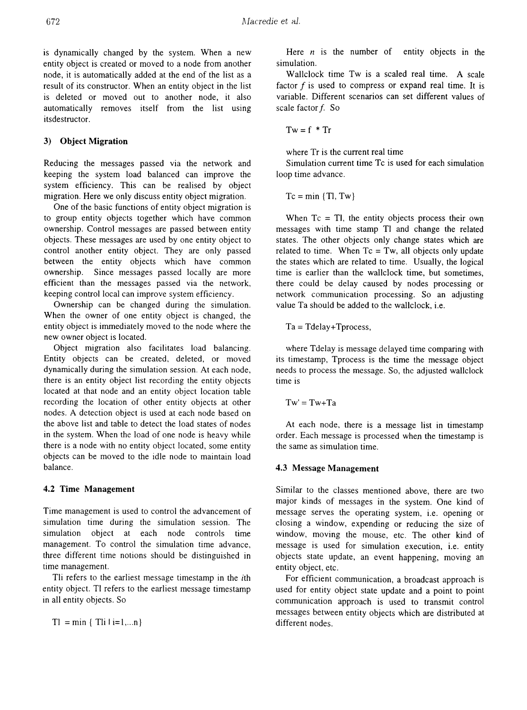is dynamically changed by the system. When a new entity object is created or moved to a node from another node, it is automatically added at the end of the list as a result of its constructor. When an entity object in the list is deleted or moved out to another node, it also automatically removes itself from the list using itsdestructor.

## 3) Object Migration

Reducing the messages passed via the network and keeping the system load balanced can improve the system efficiency. This can be realised by object migration. Here we only discuss entity object migration.

One of the basic functions of entity object migration is to group entity objects together which have common ownership. Control messages are passed between entity objects. These messages are used by one entity object to control another entity object. They are only passed between the entity objects which have common ownership. Since messages passed locally are more efficient than the messages passed via the network, keeping control local can improve system efficiency.

Ownership can be changed during the simulation. When the owner of one entity object is changed, the entity object is immediately moved to the node where the new owner object is located.

Object migration also facilitates load balancing. Entity objects can be created, deleted, or moved dynamically during the simulation session. At each node, there is an entity object list recording the entity objects located at that node and an entity object location table recording the location of other entity objects at other nodes. A detection object is used at each node based on the above list and table to detect the load states of nodes in the system. When the load of one node is heavy while there is a node with no entity object located, some entity objects can be moved to the idle node to maintain load balance.

## 4.2 Time Management

Time management is used to control the advancement of simulation time during the simulation session. The simulation object at each node controls time management. To control the simulation time advance, three different time notions should be distinguished in time management.

Tli refers to the earliest message timestamp in the *ith* entity object. TI refers to the earliest message timestamp in all entity objects. So

 $TI = min \{ Til i = 1, ...n\}$ 

Here  $n$  is the number of entity objects in the simulation.

Wallclock time Tw is a scaled real time. A scale factor  $f$  is used to compress or expand real time. It is variable. Different scenarios can set different values of scale factor  $f$ . So

$$
Tw = f * Tr
$$

where Tr is the current real time

Simulation current time Tc is used for each simulation loop time advance.

 $Tc = min \{Tl, Tw\}$ 

When  $T_c = Tl$ , the entity objects process their own messages with time stamp TI and change the related states. The other objects only change states which are related to time. When  $Tc = Tw$ , all objects only update the states which are related to time. Usually, the logical time is earlier than the wallclock time, but sometimes, there could be delay caused by nodes processing or network communication processing. So an adjusting value Ta should be added to the wallclock, i.e.

 $Ta = Tdelay + Tprocess,$ 

where Tdelay is message delayed time comparing with its timestamp, Tprocess is the time the message object needs to process the message. So, the adjusted wallclock time is

 $Tw' = Tw + Ta$ 

At each node, there is a message list in timestamp order. Each message is processed when the timestamp is the same as simulation time.

# 4.3 Message Management

Similar to the classes mentioned above, there are two major kinds of messages in the system. One kind of message serves the operating system, i.e. opening or closing a window, expending or reducing the size of window, moving the mouse, etc. The other kind of message is used for simulation execution, i.e. entity objects state update, an event happening, moving an entity object, etc.

For efficient communication, a broadcast approach is used for entity object state update and a point to point communication approach is used to transmit control messages between entity objects which are distributed at different nodes.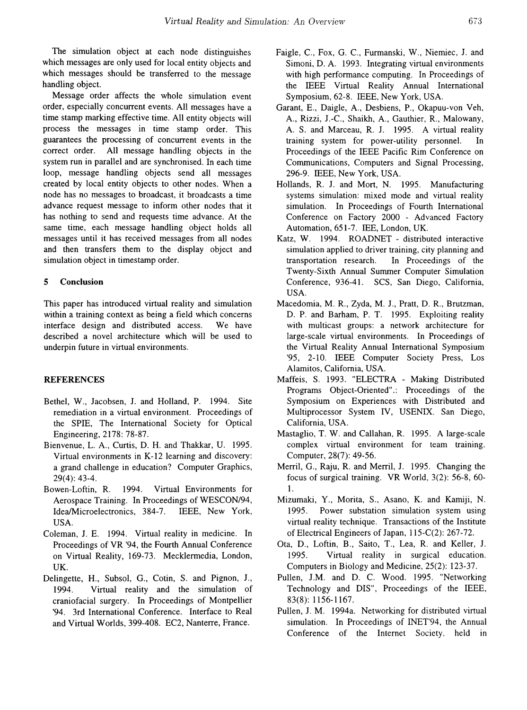The simulation object at each node distinguishes which messages are only used for local entity objects and which messages should be transferred to the message handling object.

Message order affects the whole simulation event order, especially concurrent events. All messages have a time stamp marking effective time. All entity objects will process the messages in time stamp order. This guarantees the processing of concurrent events in the correct order. All message handling objects in the system run in parallel and are synchronised. In each time loop, message handling objects send all messages created by local entity objects to other nodes. When a node has no messages to broadcast, it broadcasts a time advance request message to inform other nodes that it has nothing to send and requests time advance. At the same time, each message handling object holds all messages until it has received messages from all nodes and then transfers them to the display object and simulation object in timestamp order.

#### 5 Conclusion

This paper has introduced virtual reality and simulation within a training context as being a field which concerns interface design and distributed access. We have described a novel architecture which will be used to underpin future in virtual environments.

### REFERENCES

- Bethel, W., Jacobsen, J. and Holland, P. 1994. Site remediation in a virtual environment. Proceedings of the SPIE, The International Society for Optical Engineering, 2178: 78-87.
- Bienvenue, L. A., Curtis, D. H. and Thakkar, U. 1995. Virtual environments in K-12 learning and discovery: a grand challenge in education? Computer Graphics, 29(4): 43-4.
- Bowen-Loftin, R. 1994. Virtual Environments for Aerospace Training. In Proceedings of WESCON/94, IdealMicroelectronics, 384-7. IEEE, New York, USA.
- Coleman, J. E. 1994. Virtual reality in medicine. In Proceedings of VR '94, the Fourth Annual Conference on Virtual Reality, 169-73. Mecklermedia, London, UK.
- Delingette, H., Subsol, G., Cotin, S. and Pignon, J., 1994. Virtual reality and the simulation of craniofacial surgery. In Proceedings of Montpellier '94. 3rd International Conference. Interface to Real and Virtual Worlds, 399-408. EC2, Nanterre, France.
- Faigle, C., Fox, G. C., Furmanski, W., Niemiec, J. and Simoni, D. A. 1993. Integrating virtual environments with high performance computing. In Proceedings of the IEEE Virtual Reality Annual International Symposium, 62-8. IEEE, New York, USA.
- Garant, E., Daigle, A., Desbiens, P., Okapuu-von Veh, A., Rizzi, J.-C., Shaikh, A., Gauthier, R., Malowany, A. S. and Marceau, R. J. 1995. A virtual reality training system for power-utility personnel. In Proceedings of the IEEE Pacific Rim Conference on Communications, Computers and Signal Processing, 296-9. IEEE, New York, USA.
- Hollands, R. J. and Mort, N. 1995. Manufacturing systems simulation: mixed mode and virtual reality simulation. In Proceedings of Fourth International Conference on Factory 2000 - Advanced Factory Automation, 651-7. lEE, London, UK.
- Katz, W. 1994. ROADNET distributed interactive simulation applied to driver training, city planning and transportation research. In Proceedings of the Twenty-Sixth Annual Summer Computer Simulation Conference, 936-41. *SCS,* San Diego, California, USA.
- Macedomia, M. R., Zyda, M. J., Pratt, D. R., Brutzman, D. P. and Barham, P. T. 1995. Exploiting reality with multicast groups: a network architecture for large-scale virtual environments. In Proceedings of the Virtual Reality Annual International Symposium '95, 2-10. IEEE Computer Society Press, Los Alamitos, California, USA.
- Maffeis, S. 1993. "ELECTRA Making Distributed Programs Object-Oriented".: Proceedings of the Symposium on Experiences with Distributed and Multiprocessor System IV, USENIX. San Diego, California, USA.
- Mastaglio, T. W. and Callahan, R. 1995. A large-scale complex virtual environment for team training. Computer, 28(7): 49-56.
- Merril, G., Raju, R. and Merril, J. 1995. Changing the focus of surgical training. VR World, 3(2): 56-8, 60- 1.
- Mizumaki, Y., Morita, S., Asano, K. and Kamiji, N. 1995. Power substation simulation system using virtual reality technique. Transactions of the Institute of Electrical Engineers of Japan, 115-C(2): 267-72.
- Ota, D., Loftin, B., Saito, T., Lea, R. and Keller, J. 1995. Virtual reality in surgical education. Computers in Biology and Medicine, 25(2): 123-37.
- Pullen, J.M. and D. C. Wood. 1995. "Networking Technology and DIS", Proceedings of the IEEE, 83(8): 1156-1167.
- Pullen, J. M. 1994a. Networking for distributed virtual simulation. In Proceedings of INET'94, the Annual Conference of the Internet Society, held in